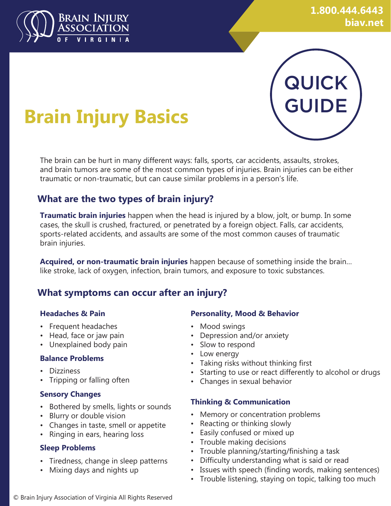

# QUICK GUIDE

# **Brain Injury Basics**

The brain can be hurt in many different ways: falls, sports, car accidents, assaults, strokes, and brain tumors are some of the most common types of injuries. Brain injuries can be either traumatic or non-traumatic, but can cause similar problems in a person's life.

### **What are the two types of brain injury?**

**Traumatic brain injuries** happen when the head is injured by a blow, jolt, or bump. In some cases, the skull is crushed, fractured, or penetrated by a foreign object. Falls, car accidents, sports-related accidents, and assaults are some of the most common causes of traumatic brain injuries.

**Acquired, or non-traumatic brain injuries** happen because of something inside the brain… like stroke, lack of oxygen, infection, brain tumors, and exposure to toxic substances.

## **What symptoms can occur after an injury?**

#### **Headaches & Pain**

- Frequent headaches
- Head, face or jaw pain
- Unexplained body pain

#### **Balance Problems**

- Dizziness
- Tripping or falling often

#### **Sensory Changes**

- Bothered by smells, lights or sounds
- Blurry or double vision
- Changes in taste, smell or appetite
- Ringing in ears, hearing loss

#### **Sleep Problems**

- Tiredness, change in sleep patterns
- Mixing days and nights up

#### **Personality, Mood & Behavior**

- Mood swings
- Depression and/or anxiety
- Slow to respond
- Low energy
- Taking risks without thinking first
- Starting to use or react differently to alcohol or drugs
- Changes in sexual behavior

#### **Thinking & Communication**

- Memory or concentration problems
- Reacting or thinking slowly
- Easily confused or mixed up
- Trouble making decisions
- Trouble planning/starting/finishing a task
- Difficulty understanding what is said or read
- Issues with speech (finding words, making sentences)
- Trouble listening, staying on topic, talking too much